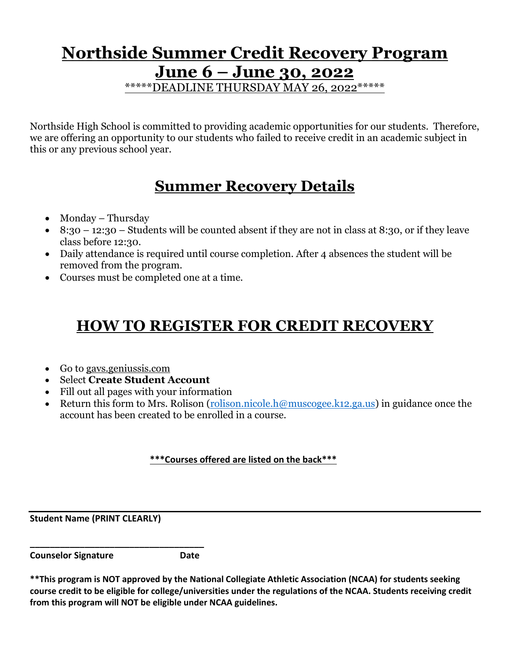### **Northside Summer Credit Recovery Program June 6 – June 30, 2022** \*\*\*\*\*DEADLINE THURSDAY MAY 26, 2022\*\*\*\*\*

Northside High School is committed to providing academic opportunities for our students. Therefore, we are offering an opportunity to our students who failed to receive credit in an academic subject in this or any previous school year.

# **Summer Recovery Details**

- Monday Thursday
- 8:30 12:30 Students will be counted absent if they are not in class at 8:30, or if they leave class before 12:30.
- Daily attendance is required until course completion. After 4 absences the student will be removed from the program.
- Courses must be completed one at a time.

# **HOW TO REGISTER FOR CREDIT RECOVERY**

- Go to gavs.geniussis.com
- Select **Create Student Account**
- Fill out all pages with your information
- Return this form to Mrs. Rolison [\(rolison.nicole.h@muscogee.k12.ga.us\)](mailto:rolison.nicole.h@muscogee.k12.ga.us) in guidance once the account has been created to be enrolled in a course.

#### **\*\*\*Courses offered are listed on the back\*\*\***

**Student Name (PRINT CLEARLY)**

**Counselor Signature Date**

**\_\_\_\_\_\_\_\_\_\_\_\_\_\_\_\_\_\_\_\_\_\_\_\_\_\_\_\_\_\_\_\_\_\_\_**

**<sup>\*\*</sup>This program is NOT approved by the National Collegiate Athletic Association (NCAA) for students seeking course credit to be eligible for college/universities under the regulations of the NCAA. Students receiving credit from this program will NOT be eligible under NCAA guidelines.**